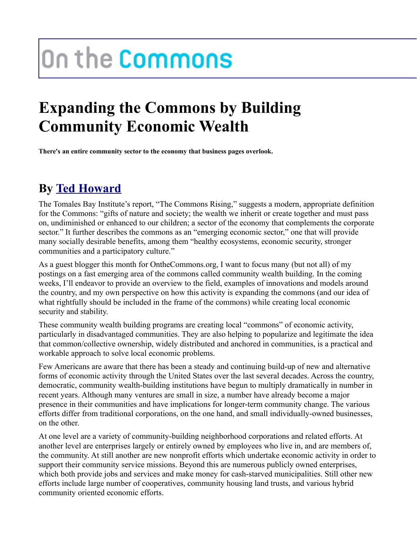## On the Commons

## **Expanding the Commons by Building Community Economic Wealth**

**There's an entire community sector to the economy that business pages overlook.**

## **By [Ted Howard](http://www.onthecommons.org/users/ted-howard)**

The Tomales Bay Institute's report, "The Commons Rising," suggests a modern, appropriate definition for the Commons: "gifts of nature and society; the wealth we inherit or create together and must pass on, undiminished or enhanced to our children; a sector of the economy that complements the corporate sector." It further describes the commons as an "emerging economic sector," one that will provide many socially desirable benefits, among them "healthy ecosystems, economic security, stronger communities and a participatory culture."

As a guest blogger this month for OntheCommons.org, I want to focus many (but not all) of my postings on a fast emerging area of the commons called community wealth building. In the coming weeks, I'll endeavor to provide an overview to the field, examples of innovations and models around the country, and my own perspective on how this activity is expanding the commons (and our idea of what rightfully should be included in the frame of the commons) while creating local economic security and stability.

These community wealth building programs are creating local "commons" of economic activity, particularly in disadvantaged communities. They are also helping to popularize and legitimate the idea that common/collective ownership, widely distributed and anchored in communities, is a practical and workable approach to solve local economic problems.

Few Americans are aware that there has been a steady and continuing build-up of new and alternative forms of economic activity through the United States over the last several decades. Across the country, democratic, community wealth-building institutions have begun to multiply dramatically in number in recent years. Although many ventures are small in size, a number have already become a major presence in their communities and have implications for longer-term community change. The various efforts differ from traditional corporations, on the one hand, and small individually-owned businesses, on the other.

At one level are a variety of community-building neighborhood corporations and related efforts. At another level are enterprises largely or entirely owned by employees who live in, and are members of, the community. At still another are new nonprofit efforts which undertake economic activity in order to support their community service missions. Beyond this are numerous publicly owned enterprises, which both provide jobs and services and make money for cash-starved municipalities. Still other new efforts include large number of cooperatives, community housing land trusts, and various hybrid community oriented economic efforts.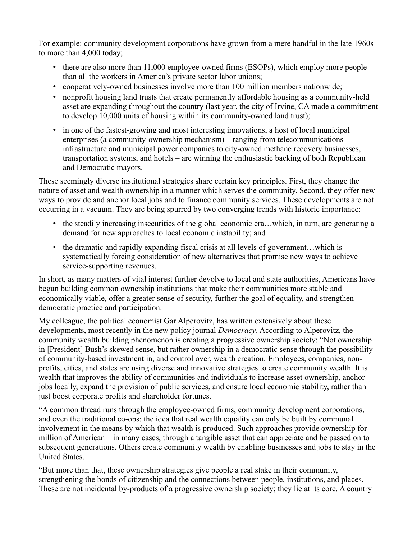For example: community development corporations have grown from a mere handful in the late 1960s to more than 4,000 today;

- there are also more than 11,000 employee-owned firms (ESOPs), which employ more people than all the workers in America's private sector labor unions;
- cooperatively-owned businesses involve more than 100 million members nationwide;
- nonprofit housing land trusts that create permanently affordable housing as a community-held asset are expanding throughout the country (last year, the city of Irvine, CA made a commitment to develop 10,000 units of housing within its community-owned land trust);
- in one of the fastest-growing and most interesting innovations, a host of local municipal enterprises (a community-ownership mechanism) – ranging from telecommunications infrastructure and municipal power companies to city-owned methane recovery businesses, transportation systems, and hotels – are winning the enthusiastic backing of both Republican and Democratic mayors.

These seemingly diverse institutional strategies share certain key principles. First, they change the nature of asset and wealth ownership in a manner which serves the community. Second, they offer new ways to provide and anchor local jobs and to finance community services. These developments are not occurring in a vacuum. They are being spurred by two converging trends with historic importance:

- the steadily increasing insecurities of the global economic era...which, in turn, are generating a demand for new approaches to local economic instability; and
- the dramatic and rapidly expanding fiscal crisis at all levels of government...which is systematically forcing consideration of new alternatives that promise new ways to achieve service-supporting revenues.

In short, as many matters of vital interest further devolve to local and state authorities, Americans have begun building common ownership institutions that make their communities more stable and economically viable, offer a greater sense of security, further the goal of equality, and strengthen democratic practice and participation.

My colleague, the political economist Gar Alperovitz, has written extensively about these developments, most recently in the new policy journal *Democracy*. According to Alperovitz, the community wealth building phenomenon is creating a progressive ownership society: "Not ownership in [President] Bush's skewed sense, but rather ownership in a democratic sense through the possibility of community-based investment in, and control over, wealth creation. Employees, companies, nonprofits, cities, and states are using diverse and innovative strategies to create community wealth. It is wealth that improves the ability of communities and individuals to increase asset ownership, anchor jobs locally, expand the provision of public services, and ensure local economic stability, rather than just boost corporate profits and shareholder fortunes.

"A common thread runs through the employee-owned firms, community development corporations, and even the traditional co-ops: the idea that real wealth equality can only be built by communal involvement in the means by which that wealth is produced. Such approaches provide ownership for million of American – in many cases, through a tangible asset that can appreciate and be passed on to subsequent generations. Others create community wealth by enabling businesses and jobs to stay in the United States.

"But more than that, these ownership strategies give people a real stake in their community, strengthening the bonds of citizenship and the connections between people, institutions, and places. These are not incidental by-products of a progressive ownership society; they lie at its core. A country